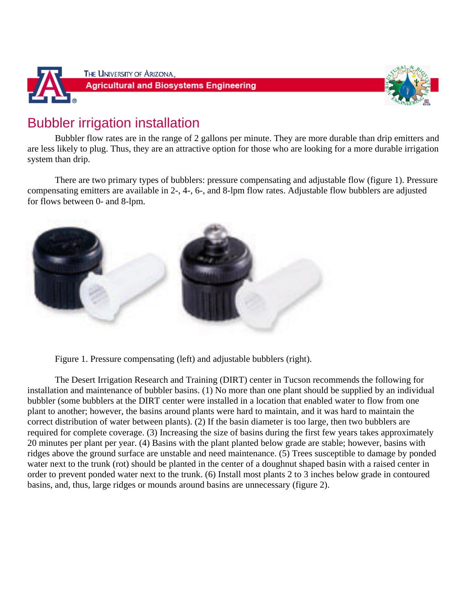



## Bubbler irrigation installation

Bubbler flow rates are in the range of 2 gallons per minute. They are more durable than drip emitters and are less likely to plug. Thus, they are an attractive option for those who are looking for a more durable irrigation system than drip.

There are two primary types of bubblers: pressure compensating and adjustable flow (figure 1). Pressure compensating emitters are available in 2-, 4-, 6-, and 8-lpm flow rates. Adjustable flow bubblers are adjusted for flows between 0- and 8-lpm.



Figure 1. Pressure compensating (left) and adjustable bubblers (right).

The Desert Irrigation Research and Training (DIRT) center in Tucson recommends the following for installation and maintenance of bubbler basins. (1) No more than one plant should be supplied by an individual bubbler (some bubblers at the DIRT center were installed in a location that enabled water to flow from one plant to another; however, the basins around plants were hard to maintain, and it was hard to maintain the correct distribution of water between plants). (2) If the basin diameter is too large, then two bubblers are required for complete coverage. (3) Increasing the size of basins during the first few years takes approximately 20 minutes per plant per year. (4) Basins with the plant planted below grade are stable; however, basins with ridges above the ground surface are unstable and need maintenance. (5) Trees susceptible to damage by ponded water next to the trunk (rot) should be planted in the center of a doughnut shaped basin with a raised center in order to prevent ponded water next to the trunk. (6) Install most plants 2 to 3 inches below grade in contoured basins, and, thus, large ridges or mounds around basins are unnecessary (figure 2).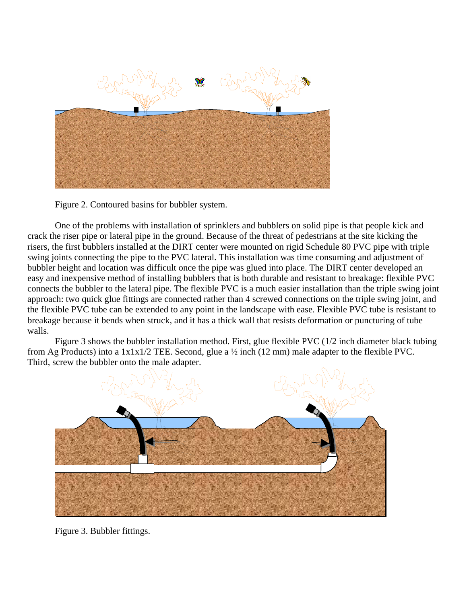

Figure 2. Contoured basins for bubbler system.

One of the problems with installation of sprinklers and bubblers on solid pipe is that people kick and crack the riser pipe or lateral pipe in the ground. Because of the threat of pedestrians at the site kicking the risers, the first bubblers installed at the DIRT center were mounted on rigid Schedule 80 PVC pipe with triple swing joints connecting the pipe to the PVC lateral. This installation was time consuming and adjustment of bubbler height and location was difficult once the pipe was glued into place. The DIRT center developed an easy and inexpensive method of installing bubblers that is both durable and resistant to breakage: flexible PVC connects the bubbler to the lateral pipe. The flexible PVC is a much easier installation than the triple swing joint approach: two quick glue fittings are connected rather than 4 screwed connections on the triple swing joint, and the flexible PVC tube can be extended to any point in the landscape with ease. Flexible PVC tube is resistant to breakage because it bends when struck, and it has a thick wall that resists deformation or puncturing of tube walls.

Figure 3 shows the bubbler installation method. First, glue flexible PVC (1/2 inch diameter black tubing from Ag Products) into a 1x1x1/2 TEE. Second, glue a ½ inch (12 mm) male adapter to the flexible PVC. Third, screw the bubbler onto the male adapter.



Figure 3. Bubbler fittings.